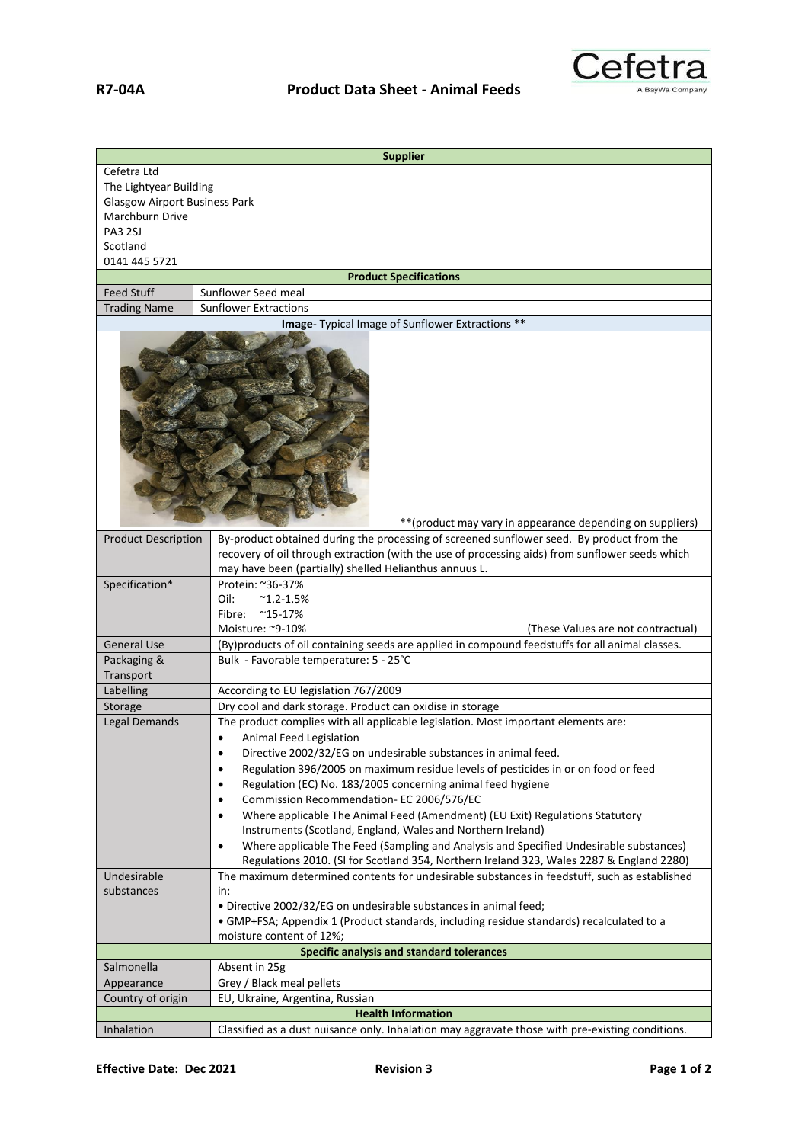

| <b>Supplier</b>                                                                                  |                                                                                                                                                                                              |  |
|--------------------------------------------------------------------------------------------------|----------------------------------------------------------------------------------------------------------------------------------------------------------------------------------------------|--|
| Cefetra Ltd<br>The Lightyear Building<br><b>Glasgow Airport Business Park</b><br>Marchburn Drive |                                                                                                                                                                                              |  |
| <b>PA3 2SJ</b><br>Scotland                                                                       |                                                                                                                                                                                              |  |
| 0141 445 5721                                                                                    |                                                                                                                                                                                              |  |
|                                                                                                  | <b>Product Specifications</b>                                                                                                                                                                |  |
| <b>Feed Stuff</b>                                                                                | Sunflower Seed meal                                                                                                                                                                          |  |
| <b>Trading Name</b>                                                                              | <b>Sunflower Extractions</b><br>Image- Typical Image of Sunflower Extractions **                                                                                                             |  |
|                                                                                                  | ** (product may vary in appearance depending on suppliers)                                                                                                                                   |  |
| <b>Product Description</b>                                                                       | By-product obtained during the processing of screened sunflower seed. By product from the<br>recovery of oil through extraction (with the use of processing aids) from sunflower seeds which |  |
| Specification*                                                                                   | may have been (partially) shelled Helianthus annuus L.<br>Protein: ~36-37%<br>Oil:<br>$^{\sim}$ 1.2-1.5%<br>$^{\sim}$ 15-17%<br>Fibre:                                                       |  |
| <b>General Use</b>                                                                               | Moisture: ~9-10%<br>(These Values are not contractual)<br>(By)products of oil containing seeds are applied in compound feedstuffs for all animal classes.                                    |  |
| Packaging &<br>Transport                                                                         | Bulk - Favorable temperature: 5 - 25°C                                                                                                                                                       |  |
| Labelling                                                                                        | According to EU legislation 767/2009                                                                                                                                                         |  |
| Storage                                                                                          | Dry cool and dark storage. Product can oxidise in storage                                                                                                                                    |  |
| Legal Demands                                                                                    | The product complies with all applicable legislation. Most important elements are:<br>Animal Feed Legislation<br>$\bullet$<br>Directive 2002/32/EG on undesirable substances in animal feed. |  |
|                                                                                                  | Regulation 396/2005 on maximum residue levels of pesticides in or on food or feed<br>$\bullet$<br>Regulation (EC) No. 183/2005 concerning animal feed hygiene<br>$\bullet$                   |  |
|                                                                                                  | Commission Recommendation- EC 2006/576/EC<br>٠                                                                                                                                               |  |
|                                                                                                  | Where applicable The Animal Feed (Amendment) (EU Exit) Regulations Statutory<br>$\bullet$                                                                                                    |  |
|                                                                                                  | Instruments (Scotland, England, Wales and Northern Ireland)<br>Where applicable The Feed (Sampling and Analysis and Specified Undesirable substances)<br>$\bullet$                           |  |
|                                                                                                  | Regulations 2010. (SI for Scotland 354, Northern Ireland 323, Wales 2287 & England 2280)                                                                                                     |  |
| Undesirable                                                                                      | The maximum determined contents for undesirable substances in feedstuff, such as established                                                                                                 |  |
| substances                                                                                       | in:                                                                                                                                                                                          |  |
|                                                                                                  | . Directive 2002/32/EG on undesirable substances in animal feed;                                                                                                                             |  |
|                                                                                                  | • GMP+FSA; Appendix 1 (Product standards, including residue standards) recalculated to a                                                                                                     |  |
|                                                                                                  | moisture content of 12%;                                                                                                                                                                     |  |
|                                                                                                  | Specific analysis and standard tolerances                                                                                                                                                    |  |
| Salmonella<br>Appearance                                                                         | Absent in 25g<br>Grey / Black meal pellets                                                                                                                                                   |  |
| Country of origin                                                                                | EU, Ukraine, Argentina, Russian                                                                                                                                                              |  |
| <b>Health Information</b>                                                                        |                                                                                                                                                                                              |  |
| Inhalation                                                                                       | Classified as a dust nuisance only. Inhalation may aggravate those with pre-existing conditions.                                                                                             |  |